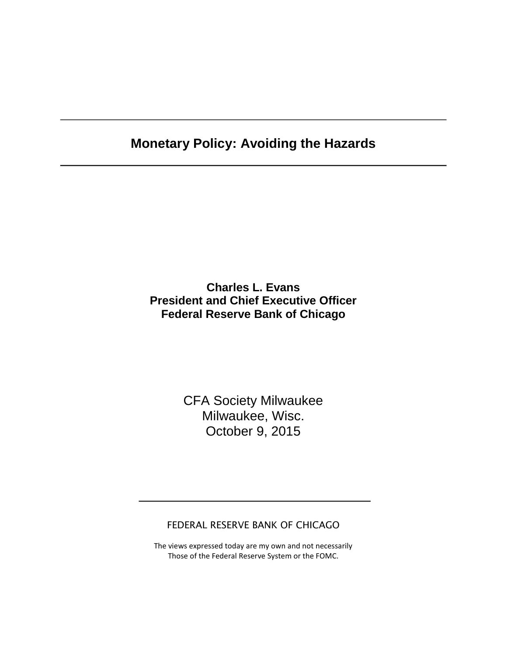# **Monetary Policy: Avoiding the Hazards**

**Charles L. Evans President and Chief Executive Officer Federal Reserve Bank of Chicago**

> CFA Society Milwaukee Milwaukee, Wisc. October 9, 2015

FEDERAL RESERVE BANK OF CHICAGO

The views expressed today are my own and not necessarily Those of the Federal Reserve System or the FOMC.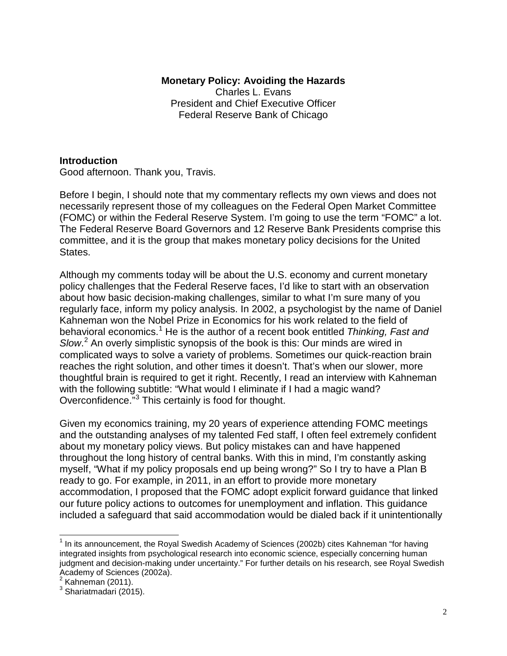#### **Monetary Policy: Avoiding the Hazards** Charles L. Evans President and Chief Executive Officer Federal Reserve Bank of Chicago

## **Introduction**

Good afternoon. Thank you, Travis.

Before I begin, I should note that my commentary reflects my own views and does not necessarily represent those of my colleagues on the Federal Open Market Committee (FOMC) or within the Federal Reserve System. I'm going to use the term "FOMC" a lot. The Federal Reserve Board Governors and 12 Reserve Bank Presidents comprise this committee, and it is the group that makes monetary policy decisions for the United States.

Although my comments today will be about the U.S. economy and current monetary policy challenges that the Federal Reserve faces, I'd like to start with an observation about how basic decision-making challenges, similar to what I'm sure many of you regularly face, inform my policy analysis. In 2002, a psychologist by the name of Daniel Kahneman won the Nobel Prize in Economics for his work related to the field of behavioral economics.[1](#page-1-0) He is the author of a recent book entitled *Thinking, Fast and Slow*. [2](#page-1-1) An overly simplistic synopsis of the book is this: Our minds are wired in complicated ways to solve a variety of problems. Sometimes our quick-reaction brain reaches the right solution, and other times it doesn't. That's when our slower, more thoughtful brain is required to get it right. Recently, I read an interview with Kahneman with the following subtitle: "What would I eliminate if I had a magic wand? Overconfidence.<sup>"[3](#page-1-2)</sup> This certainly is food for thought.

Given my economics training, my 20 years of experience attending FOMC meetings and the outstanding analyses of my talented Fed staff, I often feel extremely confident about my monetary policy views. But policy mistakes can and have happened throughout the long history of central banks. With this in mind, I'm constantly asking myself, "What if my policy proposals end up being wrong?" So I try to have a Plan B ready to go. For example, in 2011, in an effort to provide more monetary accommodation, I proposed that the FOMC adopt explicit forward guidance that linked our future policy actions to outcomes for unemployment and inflation. This guidance included a safeguard that said accommodation would be dialed back if it unintentionally

<span id="page-1-0"></span> $<sup>1</sup>$  In its announcement, the Royal Swedish Academy of Sciences (2002b) cites Kahneman "for having</sup> integrated insights from psychological research into economic science, especially concerning human judgment and decision-making under uncertainty." For further details on his research, see Royal Swedish Academy of Sciences (2002a).<br><sup>2</sup> Kahneman (2011).

<span id="page-1-1"></span>

<span id="page-1-2"></span> $3$  Shariatmadari (2015).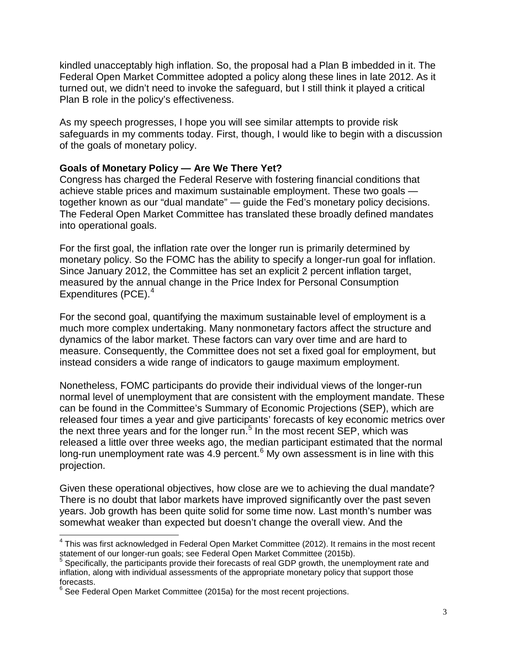kindled unacceptably high inflation. So, the proposal had a Plan B imbedded in it. The Federal Open Market Committee adopted a policy along these lines in late 2012. As it turned out, we didn't need to invoke the safeguard, but I still think it played a critical Plan B role in the policy's effectiveness.

As my speech progresses, I hope you will see similar attempts to provide risk safeguards in my comments today. First, though, I would like to begin with a discussion of the goals of monetary policy.

## **Goals of Monetary Policy — Are We There Yet?**

Congress has charged the Federal Reserve with fostering financial conditions that achieve stable prices and maximum sustainable employment. These two goals together known as our "dual mandate" — guide the Fed's monetary policy decisions. The Federal Open Market Committee has translated these broadly defined mandates into operational goals.

For the first goal, the inflation rate over the longer run is primarily determined by monetary policy. So the FOMC has the ability to specify a longer-run goal for inflation. Since January 2012, the Committee has set an explicit 2 percent inflation target, measured by the annual change in the Price Index for Personal Consumption Expenditures (PCE).<sup>[4](#page-2-0)</sup>

For the second goal, quantifying the maximum sustainable level of employment is a much more complex undertaking. Many nonmonetary factors affect the structure and dynamics of the labor market. These factors can vary over time and are hard to measure. Consequently, the Committee does not set a fixed goal for employment, but instead considers a wide range of indicators to gauge maximum employment.

Nonetheless, FOMC participants do provide their individual views of the longer-run normal level of unemployment that are consistent with the employment mandate. These can be found in the Committee's Summary of Economic Projections (SEP), which are released four times a year and give participants' forecasts of key economic metrics over the next three years and for the longer run.<sup>[5](#page-2-1)</sup> In the most recent SEP, which was released a little over three weeks ago, the median participant estimated that the normal long-run unemployment rate was 4.9 percent. $<sup>6</sup>$  $<sup>6</sup>$  $<sup>6</sup>$  My own assessment is in line with this</sup> projection.

Given these operational objectives, how close are we to achieving the dual mandate? There is no doubt that labor markets have improved significantly over the past seven years. Job growth has been quite solid for some time now. Last month's number was somewhat weaker than expected but doesn't change the overall view. And the

<span id="page-2-0"></span> $<sup>4</sup>$  This was first acknowledged in Federal Open Market Committee (2012). It remains in the most recent</sup> statement of our longer-run goals; see Federal Open Market Committee (2015b).<br>5 Specifically, the participants provide their forecasts of real GDP growth, the unemployment rate and<br>5 Specifically, the participants provide

<span id="page-2-1"></span>inflation, along with individual assessments of the appropriate monetary policy that support those forecasts.

<span id="page-2-2"></span>See Federal Open Market Committee (2015a) for the most recent projections.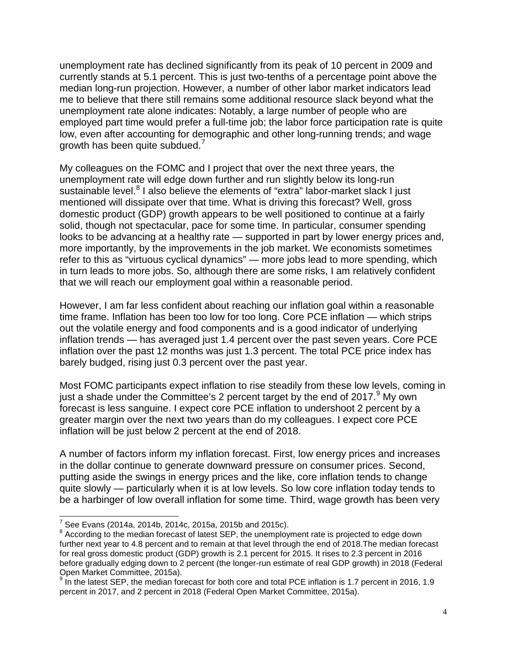unemployment rate has declined significantly from its peak of 10 percent in 2009 and currently stands at 5.1 percent. This is just two-tenths of a percentage point above the median long-run projection. However, a number of other labor market indicators lead me to believe that there still remains some additional resource slack beyond what the unemployment rate alone indicates: Notably, a large number of people who are employed part time would prefer a full-time job; the labor force participation rate is quite low, even after accounting for demographic and other long-running trends; and wage growth has been quite subdued.<sup>[7](#page-3-0)</sup>

My colleagues on the FOMC and I project that over the next three years, the unemployment rate will edge down further and run slightly below its long-run sustainable level. $8$  I also believe the elements of "extra" labor-market slack I just mentioned will dissipate over that time. What is driving this forecast? Well, gross domestic product (GDP) growth appears to be well positioned to continue at a fairly solid, though not spectacular, pace for some time. In particular, consumer spending looks to be advancing at a healthy rate — supported in part by lower energy prices and, more importantly, by the improvements in the job market. We economists sometimes refer to this as "virtuous cyclical dynamics" — more jobs lead to more spending, which in turn leads to more jobs. So, although there are some risks, I am relatively confident that we will reach our employment goal within a reasonable period.

However, I am far less confident about reaching our inflation goal within a reasonable time frame. Inflation has been too low for too long. Core PCE inflation — which strips out the volatile energy and food components and is a good indicator of underlying inflation trends — has averaged just 1.4 percent over the past seven years. Core PCE inflation over the past 12 months was just 1.3 percent. The total PCE price index has barely budged, rising just 0.3 percent over the past year.

Most FOMC participants expect inflation to rise steadily from these low levels, coming in just a shade under the Committee's 2 percent target by the end of 2017.  $9$  My own forecast is less sanguine. I expect core PCE inflation to undershoot 2 percent by a greater margin over the next two years than do my colleagues. I expect core PCE inflation will be just below 2 percent at the end of 2018.

A number of factors inform my inflation forecast. First, low energy prices and increases in the dollar continue to generate downward pressure on consumer prices. Second, putting aside the swings in energy prices and the like, core inflation tends to change quite slowly — particularly when it is at low levels. So low core inflation today tends to be a harbinger of low overall inflation for some time. Third, wage growth has been very

 $7$  See Evans (2014a, 2014b, 2014c, 2015a, 2015b and 2015c).

<span id="page-3-1"></span><span id="page-3-0"></span><sup>&</sup>lt;sup>8</sup> According to the median forecast of latest SEP, the unemployment rate is projected to edge down further next year to 4.8 percent and to remain at that level through the end of 2018.The median forecast for real gross domestic product (GDP) growth is 2.1 percent for 2015. It rises to 2.3 percent in 2016 before gradually edging down to 2 percent (the longer-run estimate of real GDP growth) in 2018 (Federal Open Market Committee, 2015a).

<span id="page-3-2"></span> $9$  In the latest SEP, the median forecast for both core and total PCE inflation is 1.7 percent in 2016, 1.9 percent in 2017, and 2 percent in 2018 (Federal Open Market Committee, 2015a).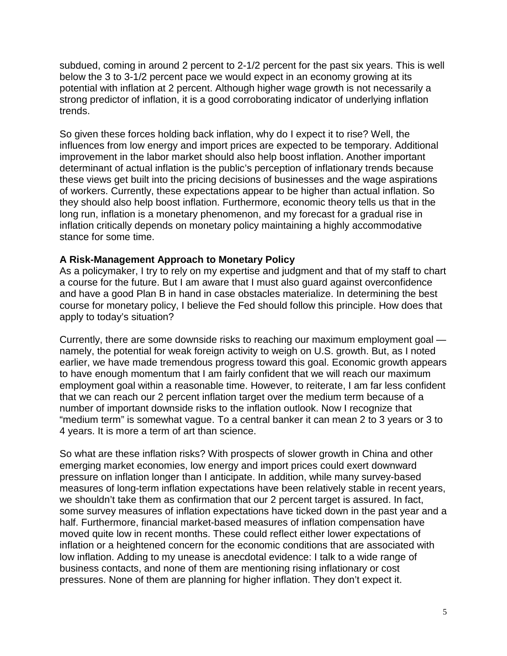subdued, coming in around 2 percent to 2-1/2 percent for the past six years. This is well below the 3 to 3-1/2 percent pace we would expect in an economy growing at its potential with inflation at 2 percent. Although higher wage growth is not necessarily a strong predictor of inflation, it is a good corroborating indicator of underlying inflation trends.

So given these forces holding back inflation, why do I expect it to rise? Well, the influences from low energy and import prices are expected to be temporary. Additional improvement in the labor market should also help boost inflation. Another important determinant of actual inflation is the public's perception of inflationary trends because these views get built into the pricing decisions of businesses and the wage aspirations of workers. Currently, these expectations appear to be higher than actual inflation. So they should also help boost inflation. Furthermore, economic theory tells us that in the long run, inflation is a monetary phenomenon, and my forecast for a gradual rise in inflation critically depends on monetary policy maintaining a highly accommodative stance for some time.

#### **A Risk-Management Approach to Monetary Policy**

As a policymaker, I try to rely on my expertise and judgment and that of my staff to chart a course for the future. But I am aware that I must also guard against overconfidence and have a good Plan B in hand in case obstacles materialize. In determining the best course for monetary policy, I believe the Fed should follow this principle. How does that apply to today's situation?

Currently, there are some downside risks to reaching our maximum employment goal namely, the potential for weak foreign activity to weigh on U.S. growth. But, as I noted earlier, we have made tremendous progress toward this goal. Economic growth appears to have enough momentum that I am fairly confident that we will reach our maximum employment goal within a reasonable time. However, to reiterate, I am far less confident that we can reach our 2 percent inflation target over the medium term because of a number of important downside risks to the inflation outlook. Now I recognize that "medium term" is somewhat vague. To a central banker it can mean 2 to 3 years or 3 to 4 years. It is more a term of art than science.

So what are these inflation risks? With prospects of slower growth in China and other emerging market economies, low energy and import prices could exert downward pressure on inflation longer than I anticipate. In addition, while many survey-based measures of long-term inflation expectations have been relatively stable in recent years, we shouldn't take them as confirmation that our 2 percent target is assured. In fact, some survey measures of inflation expectations have ticked down in the past year and a half. Furthermore, financial market-based measures of inflation compensation have moved quite low in recent months. These could reflect either lower expectations of inflation or a heightened concern for the economic conditions that are associated with low inflation. Adding to my unease is anecdotal evidence: I talk to a wide range of business contacts, and none of them are mentioning rising inflationary or cost pressures. None of them are planning for higher inflation. They don't expect it.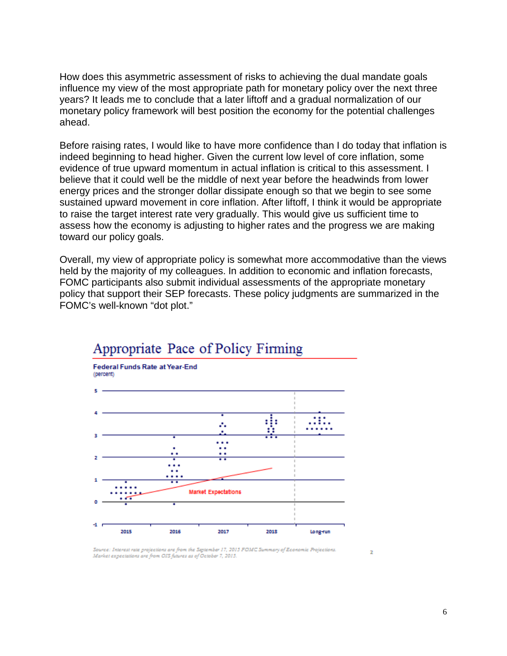How does this asymmetric assessment of risks to achieving the dual mandate goals influence my view of the most appropriate path for monetary policy over the next three years? It leads me to conclude that a later liftoff and a gradual normalization of our monetary policy framework will best position the economy for the potential challenges ahead.

Before raising rates, I would like to have more confidence than I do today that inflation is indeed beginning to head higher. Given the current low level of core inflation, some evidence of true upward momentum in actual inflation is critical to this assessment. I believe that it could well be the middle of next year before the headwinds from lower energy prices and the stronger dollar dissipate enough so that we begin to see some sustained upward movement in core inflation. After liftoff, I think it would be appropriate to raise the target interest rate very gradually. This would give us sufficient time to assess how the economy is adjusting to higher rates and the progress we are making toward our policy goals.

Overall, my view of appropriate policy is somewhat more accommodative than the views held by the majority of my colleagues. In addition to economic and inflation forecasts, FOMC participants also submit individual assessments of the appropriate monetary policy that support their SEP forecasts. These policy judgments are summarized in the FOMC's well-known "dot plot."



# Appropriate Pace of Policy Firming

Source: Interest rate projections are from the September 17, 2015 FOMC Summary of Economic Projections. Market expectations are from OIS futures as of October 7, 2015.

Þ.

6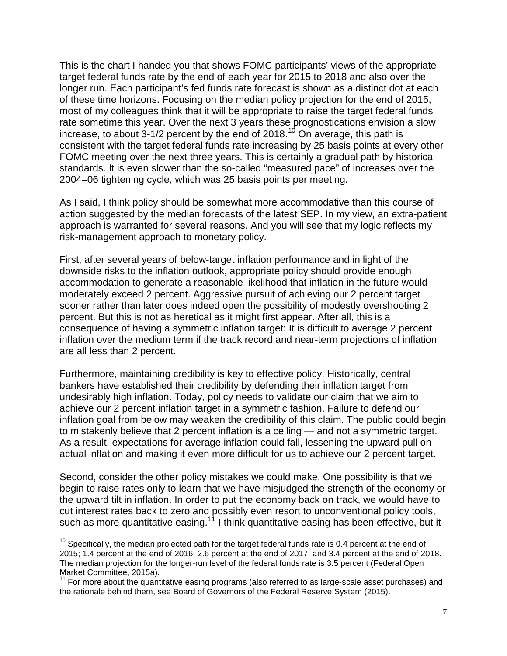This is the chart I handed you that shows FOMC participants' views of the appropriate target federal funds rate by the end of each year for 2015 to 2018 and also over the longer run. Each participant's fed funds rate forecast is shown as a distinct dot at each of these time horizons. Focusing on the median policy projection for the end of 2015, most of my colleagues think that it will be appropriate to raise the target federal funds rate sometime this year. Over the next 3 years these prognostications envision a slow increase, to about  $3-1/2$  percent by the end of 2018.<sup>[10](#page-6-0)</sup> On average, this path is consistent with the target federal funds rate increasing by 25 basis points at every other FOMC meeting over the next three years. This is certainly a gradual path by historical standards. It is even slower than the so-called "measured pace" of increases over the 2004–06 tightening cycle, which was 25 basis points per meeting.

As I said, I think policy should be somewhat more accommodative than this course of action suggested by the median forecasts of the latest SEP. In my view, an extra-patient approach is warranted for several reasons. And you will see that my logic reflects my risk-management approach to monetary policy.

First, after several years of below-target inflation performance and in light of the downside risks to the inflation outlook, appropriate policy should provide enough accommodation to generate a reasonable likelihood that inflation in the future would moderately exceed 2 percent. Aggressive pursuit of achieving our 2 percent target sooner rather than later does indeed open the possibility of modestly overshooting 2 percent. But this is not as heretical as it might first appear. After all, this is a consequence of having a symmetric inflation target: It is difficult to average 2 percent inflation over the medium term if the track record and near-term projections of inflation are all less than 2 percent.

Furthermore, maintaining credibility is key to effective policy. Historically, central bankers have established their credibility by defending their inflation target from undesirably high inflation. Today, policy needs to validate our claim that we aim to achieve our 2 percent inflation target in a symmetric fashion. Failure to defend our inflation goal from below may weaken the credibility of this claim. The public could begin to mistakenly believe that 2 percent inflation is a ceiling — and not a symmetric target. As a result, expectations for average inflation could fall, lessening the upward pull on actual inflation and making it even more difficult for us to achieve our 2 percent target.

Second, consider the other policy mistakes we could make. One possibility is that we begin to raise rates only to learn that we have misjudged the strength of the economy or the upward tilt in inflation. In order to put the economy back on track, we would have to cut interest rates back to zero and possibly even resort to unconventional policy tools, such as more quantitative easing.<sup>[11](#page-6-1)</sup> I think quantitative easing has been effective, but it

<span id="page-6-0"></span> $10$  Specifically, the median projected path for the target federal funds rate is 0.4 percent at the end of 2015; 1.4 percent at the end of 2016; 2.6 percent at the end of 2017; and 3.4 percent at the end of 2018. The median projection for the longer-run level of the federal funds rate is 3.5 percent (Federal Open Market Committee, 2015a).

<span id="page-6-1"></span><sup>&</sup>lt;sup>11</sup> For more about the quantitative easing programs (also referred to as large-scale asset purchases) and the rationale behind them, see Board of Governors of the Federal Reserve System (2015).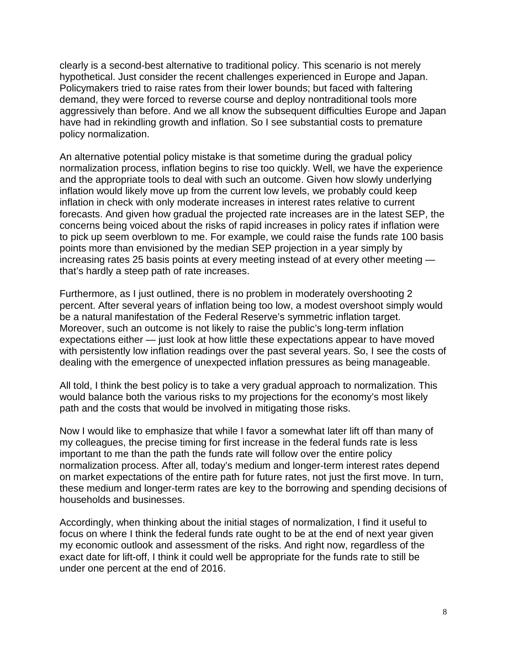clearly is a second-best alternative to traditional policy. This scenario is not merely hypothetical. Just consider the recent challenges experienced in Europe and Japan. Policymakers tried to raise rates from their lower bounds; but faced with faltering demand, they were forced to reverse course and deploy nontraditional tools more aggressively than before. And we all know the subsequent difficulties Europe and Japan have had in rekindling growth and inflation. So I see substantial costs to premature policy normalization.

An alternative potential policy mistake is that sometime during the gradual policy normalization process, inflation begins to rise too quickly. Well, we have the experience and the appropriate tools to deal with such an outcome. Given how slowly underlying inflation would likely move up from the current low levels, we probably could keep inflation in check with only moderate increases in interest rates relative to current forecasts. And given how gradual the projected rate increases are in the latest SEP, the concerns being voiced about the risks of rapid increases in policy rates if inflation were to pick up seem overblown to me. For example, we could raise the funds rate 100 basis points more than envisioned by the median SEP projection in a year simply by increasing rates 25 basis points at every meeting instead of at every other meeting that's hardly a steep path of rate increases.

Furthermore, as I just outlined, there is no problem in moderately overshooting 2 percent. After several years of inflation being too low, a modest overshoot simply would be a natural manifestation of the Federal Reserve's symmetric inflation target. Moreover, such an outcome is not likely to raise the public's long-term inflation expectations either — just look at how little these expectations appear to have moved with persistently low inflation readings over the past several years. So, I see the costs of dealing with the emergence of unexpected inflation pressures as being manageable.

All told, I think the best policy is to take a very gradual approach to normalization. This would balance both the various risks to my projections for the economy's most likely path and the costs that would be involved in mitigating those risks.

Now I would like to emphasize that while I favor a somewhat later lift off than many of my colleagues, the precise timing for first increase in the federal funds rate is less important to me than the path the funds rate will follow over the entire policy normalization process. After all, today's medium and longer-term interest rates depend on market expectations of the entire path for future rates, not just the first move. In turn, these medium and longer-term rates are key to the borrowing and spending decisions of households and businesses.

Accordingly, when thinking about the initial stages of normalization, I find it useful to focus on where I think the federal funds rate ought to be at the end of next year given my economic outlook and assessment of the risks. And right now, regardless of the exact date for lift-off, I think it could well be appropriate for the funds rate to still be under one percent at the end of 2016.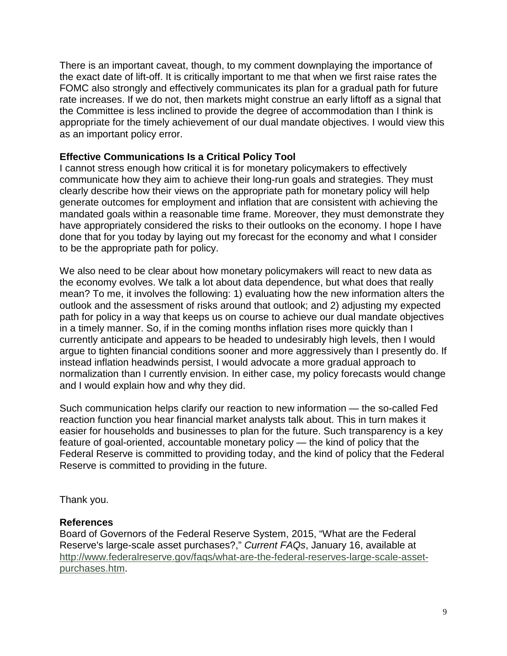There is an important caveat, though, to my comment downplaying the importance of the exact date of lift-off. It is critically important to me that when we first raise rates the FOMC also strongly and effectively communicates its plan for a gradual path for future rate increases. If we do not, then markets might construe an early liftoff as a signal that the Committee is less inclined to provide the degree of accommodation than I think is appropriate for the timely achievement of our dual mandate objectives. I would view this as an important policy error.

#### **Effective Communications Is a Critical Policy Tool**

I cannot stress enough how critical it is for monetary policymakers to effectively communicate how they aim to achieve their long-run goals and strategies. They must clearly describe how their views on the appropriate path for monetary policy will help generate outcomes for employment and inflation that are consistent with achieving the mandated goals within a reasonable time frame. Moreover, they must demonstrate they have appropriately considered the risks to their outlooks on the economy. I hope I have done that for you today by laying out my forecast for the economy and what I consider to be the appropriate path for policy.

We also need to be clear about how monetary policymakers will react to new data as the economy evolves. We talk a lot about data dependence, but what does that really mean? To me, it involves the following: 1) evaluating how the new information alters the outlook and the assessment of risks around that outlook; and 2) adjusting my expected path for policy in a way that keeps us on course to achieve our dual mandate objectives in a timely manner. So, if in the coming months inflation rises more quickly than I currently anticipate and appears to be headed to undesirably high levels, then I would argue to tighten financial conditions sooner and more aggressively than I presently do. If instead inflation headwinds persist, I would advocate a more gradual approach to normalization than I currently envision. In either case, my policy forecasts would change and I would explain how and why they did.

Such communication helps clarify our reaction to new information — the so-called Fed reaction function you hear financial market analysts talk about. This in turn makes it easier for households and businesses to plan for the future. Such transparency is a key feature of goal-oriented, accountable monetary policy — the kind of policy that the Federal Reserve is committed to providing today, and the kind of policy that the Federal Reserve is committed to providing in the future.

Thank you.

#### **References**

Board of Governors of the Federal Reserve System, 2015, "What are the Federal Reserve's large-scale asset purchases?," *Current FAQs*, January 16, available at [http://www.federalreserve.gov/faqs/what-are-the-federal-reserves-large-scale-asset](http://www.federalreserve.gov/faqs/what-are-the-federal-reserves-large-scale-asset-purchases.htm)[purchases.htm.](http://www.federalreserve.gov/faqs/what-are-the-federal-reserves-large-scale-asset-purchases.htm)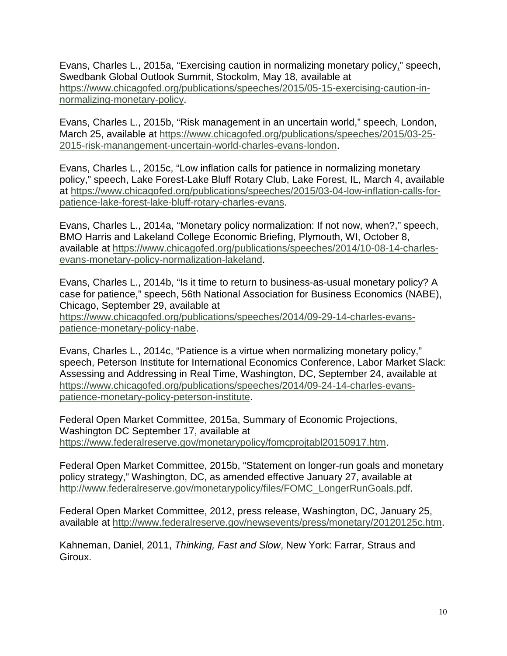Evans, Charles L., 2015a, "Exercising caution in normalizing monetary policy," speech, Swedbank Global Outlook Summit, Stockolm, May 18, available at [https://www.chicagofed.org/publications/speeches/2015/05-15-exercising-caution-in](https://www.chicagofed.org/publications/speeches/2015/05-15-exercising-caution-in-normalizing-monetary-policy)[normalizing-monetary-policy.](https://www.chicagofed.org/publications/speeches/2015/05-15-exercising-caution-in-normalizing-monetary-policy)

Evans, Charles L., 2015b, "Risk management in an uncertain world," speech, London, March 25, available at [https://www.chicagofed.org/publications/speeches/2015/03-25-](https://www.chicagofed.org/publications/speeches/2015/03-25-2015-risk-manangement-uncertain-world-charles-evans-london) [2015-risk-manangement-uncertain-world-charles-evans-london.](https://www.chicagofed.org/publications/speeches/2015/03-25-2015-risk-manangement-uncertain-world-charles-evans-london)

Evans, Charles L., 2015c, "Low inflation calls for patience in normalizing monetary policy," speech, Lake Forest-Lake Bluff Rotary Club, Lake Forest, IL, March 4, available at [https://www.chicagofed.org/publications/speeches/2015/03-04-low-inflation-calls-for](https://www.chicagofed.org/publications/speeches/2015/03-04-low-inflation-calls-for-patience-lake-forest-lake-bluff-rotary-charles-evans)[patience-lake-forest-lake-bluff-rotary-charles-evans.](https://www.chicagofed.org/publications/speeches/2015/03-04-low-inflation-calls-for-patience-lake-forest-lake-bluff-rotary-charles-evans)

Evans, Charles L., 2014a, "Monetary policy normalization: If not now, when?," speech, BMO Harris and Lakeland College Economic Briefing, Plymouth, WI, October 8, available at [https://www.chicagofed.org/publications/speeches/2014/10-08-14-charles](https://www.chicagofed.org/publications/speeches/2014/10-08-14-charles-evans-monetary-policy-normalization-lakeland)[evans-monetary-policy-normalization-lakeland.](https://www.chicagofed.org/publications/speeches/2014/10-08-14-charles-evans-monetary-policy-normalization-lakeland)

Evans, Charles L., 2014b, "Is it time to return to business-as-usual monetary policy? A case for patience," speech, 56th National Association for Business Economics (NABE), Chicago, September 29, available at [https://www.chicagofed.org/publications/speeches/2014/09-29-14-charles-evans](https://www.chicagofed.org/publications/speeches/2014/09-29-14-charles-evans-patience-monetary-policy-nabe)[patience-monetary-policy-nabe.](https://www.chicagofed.org/publications/speeches/2014/09-29-14-charles-evans-patience-monetary-policy-nabe)

Evans, Charles L., 2014c, "Patience is a virtue when normalizing monetary policy," speech, Peterson Institute for International Economics Conference, Labor Market Slack: Assessing and Addressing in Real Time, Washington, DC, September 24, available at [https://www.chicagofed.org/publications/speeches/2014/09-24-14-charles-evans](https://www.chicagofed.org/publications/speeches/2014/09-24-14-charles-evans-patience-monetary-policy-peterson-institute)[patience-monetary-policy-peterson-institute.](https://www.chicagofed.org/publications/speeches/2014/09-24-14-charles-evans-patience-monetary-policy-peterson-institute)

Federal Open Market Committee, 2015a, Summary of Economic Projections, Washington DC September 17, available at [https://www.federalreserve.gov/monetarypolicy/fomcprojtabl20150917.htm.](https://www.federalreserve.gov/monetarypolicy/fomcprojtabl20150917.htm)

Federal Open Market Committee, 2015b, "Statement on longer-run goals and monetary policy strategy," Washington, DC, as amended effective January 27, available at [http://www.federalreserve.gov/monetarypolicy/files/FOMC\\_LongerRunGoals.pdf.](http://www.federalreserve.gov/monetarypolicy/files/FOMC_LongerRunGoals.pdf)

Federal Open Market Committee, 2012, press release, Washington, DC, January 25, available at [http://www.federalreserve.gov/newsevents/press/monetary/20120125c.htm.](http://www.federalreserve.gov/newsevents/press/monetary/20120125c.htm)

Kahneman, Daniel, 2011, *Thinking, Fast and Slow*, New York: Farrar, Straus and Giroux.